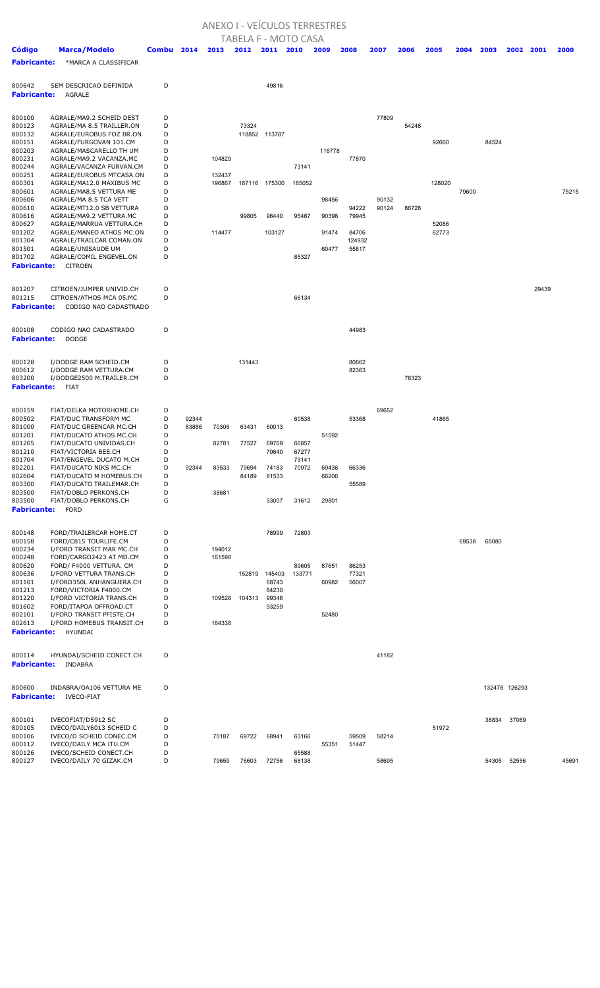## ANEXO I - VEÍCULOS TERRESTRES

| <b>TABELA F - MOTO CASA</b> |                                                      |        |       |        |        |                |        |        |        |       |       |                |       |               |       |       |       |
|-----------------------------|------------------------------------------------------|--------|-------|--------|--------|----------------|--------|--------|--------|-------|-------|----------------|-------|---------------|-------|-------|-------|
| Código                      | <b>Marca/Modelo</b>                                  | Combu  | 2014  | 2013   | 2012   | 2011           | 2010   | 2009   | 2008   | 2007  | 2006  | 2005           | 2004  | 2003          | 2002  | 2001  | 2000  |
| <b>Fabricante:</b>          | *MARCA A CLASSIFICAR                                 |        |       |        |        |                |        |        |        |       |       |                |       |               |       |       |       |
|                             |                                                      |        |       |        |        |                |        |        |        |       |       |                |       |               |       |       |       |
| 800642                      | SEM DESCRICAO DEFINIDA                               | D      |       |        |        | 49816          |        |        |        |       |       |                |       |               |       |       |       |
| <b>Fabricante:</b>          | <b>AGRALE</b>                                        |        |       |        |        |                |        |        |        |       |       |                |       |               |       |       |       |
|                             |                                                      |        |       |        |        |                |        |        |        |       |       |                |       |               |       |       |       |
| 800100                      | AGRALE/MA9.2 SCHEID DEST                             | D      |       |        |        |                |        |        |        | 77809 |       |                |       |               |       |       |       |
| 800123                      | AGRALE/MA 8.5 TRAILLER.ON                            | D      |       |        | 73324  |                |        |        |        |       | 54248 |                |       |               |       |       |       |
| 800132<br>800151            | AGRALE/EUROBUS FOZ BR.ON                             | D<br>D |       |        |        | 118852 113787  |        |        |        |       |       |                |       |               |       |       |       |
| 800203                      | AGRALE/FURGOVAN 101.CM<br>AGRALE/MASCARELLO TH UM    | D      |       |        |        |                |        | 116778 |        |       |       | 92660          |       | 84524         |       |       |       |
| 800231                      | AGRALE/MA9.2 VACANZA.MC                              | D      |       | 104829 |        |                |        |        | 77870  |       |       |                |       |               |       |       |       |
| 800244                      | AGRALE/VACANZA FURVAN.CM                             | D      |       |        |        |                | 73141  |        |        |       |       |                |       |               |       |       |       |
| 800251                      | AGRALE/EUROBUS MTCASA.ON                             | D      |       | 132437 |        |                |        |        |        |       |       |                |       |               |       |       |       |
| 800301                      | AGRALE/MA12.0 MAXIBUS MC                             | D      |       | 196867 |        | 187116 175300  | 165052 |        |        |       |       | 128020         |       |               |       |       |       |
| 800601                      | AGRALE/MA8.5 VETTURA ME                              | D      |       |        |        |                |        |        |        |       |       |                | 79600 |               |       |       | 75215 |
| 800606                      | AGRALE/MA 8.5 TCA VETT                               | D      |       |        |        |                |        | 98456  |        | 90132 |       |                |       |               |       |       |       |
| 800610                      | AGRALE/MT12.0 SB VETTURA                             | D      |       |        |        |                |        |        | 94222  | 90124 | 86728 |                |       |               |       |       |       |
| 800616                      | AGRALE/MA9.2 VETTURA.MC                              | D      |       |        | 99805  | 96440          | 95467  | 90398  | 79945  |       |       |                |       |               |       |       |       |
| 800627<br>801202            | AGRALE/MARRUA VETTURA.CH<br>AGRALE/MANEO ATHOS MC.ON | D<br>D |       | 114477 |        | 103127         |        | 91474  | 84706  |       |       | 52086<br>62773 |       |               |       |       |       |
| 801304                      | AGRALE/TRAILCAR COMAN.ON                             | D      |       |        |        |                |        |        | 124932 |       |       |                |       |               |       |       |       |
| 801501                      | AGRALE/UNISAUDE UM                                   | D      |       |        |        |                |        | 60477  | 55817  |       |       |                |       |               |       |       |       |
| 801702                      | AGRALE/COMIL ENGEVEL.ON                              | D      |       |        |        |                | 85327  |        |        |       |       |                |       |               |       |       |       |
| <b>Fabricante:</b>          | <b>CITROEN</b>                                       |        |       |        |        |                |        |        |        |       |       |                |       |               |       |       |       |
|                             |                                                      |        |       |        |        |                |        |        |        |       |       |                |       |               |       |       |       |
| 801207                      | CITROEN/JUMPER UNIVID.CH                             | D      |       |        |        |                |        |        |        |       |       |                |       |               |       | 29439 |       |
| 801215                      | CITROEN/ATHOS MCA 05.MC                              | D      |       |        |        |                | 66134  |        |        |       |       |                |       |               |       |       |       |
| <b>Fabricante:</b>          | CODIGO NAO CADASTRADO                                |        |       |        |        |                |        |        |        |       |       |                |       |               |       |       |       |
|                             |                                                      |        |       |        |        |                |        |        |        |       |       |                |       |               |       |       |       |
| 800108                      | CODIGO NAO CADASTRADO                                | D      |       |        |        |                |        |        | 44983  |       |       |                |       |               |       |       |       |
| <b>Fabricante:</b>          | <b>DODGE</b>                                         |        |       |        |        |                |        |        |        |       |       |                |       |               |       |       |       |
|                             |                                                      |        |       |        |        |                |        |        |        |       |       |                |       |               |       |       |       |
| 800128                      | I/DODGE RAM SCHEID.CM                                | D      |       |        | 131443 |                |        |        | 80862  |       |       |                |       |               |       |       |       |
| 800612                      | I/DODGE RAM VETTURA.CM                               | D      |       |        |        |                |        |        | 82363  |       |       |                |       |               |       |       |       |
| 803200                      | I/DODGE2500 M.TRAILER.CM                             | D      |       |        |        |                |        |        |        |       | 76323 |                |       |               |       |       |       |
| <b>Fabricante:</b>          | FIAT                                                 |        |       |        |        |                |        |        |        |       |       |                |       |               |       |       |       |
|                             |                                                      |        |       |        |        |                |        |        |        |       |       |                |       |               |       |       |       |
| 800159                      | FIAT/DELKA MOTORHOME.CH                              | D      |       |        |        |                |        |        |        | 69652 |       |                |       |               |       |       |       |
| 800502                      | FIAT/DUC TRANSFORM MC                                | D      | 92344 |        |        |                | 60538  |        | 53368  |       |       | 41865          |       |               |       |       |       |
| 801000                      | FIAT/DUC GREENCAR MC.CH                              | D      | 83886 | 70306  | 63431  | 60013          |        |        |        |       |       |                |       |               |       |       |       |
| 801201                      | FIAT/DUCATO ATHOS MC.CH                              | D      |       |        |        |                |        | 51592  |        |       |       |                |       |               |       |       |       |
| 801205                      | FIAT/DUCATO UNIVIDAS.CH                              | D      |       | 82781  | 77527  | 69769          | 66857  |        |        |       |       |                |       |               |       |       |       |
| 801210                      | FIAT/VICTORIA BEE.CH                                 | D      |       |        |        | 70640          | 67277  |        |        |       |       |                |       |               |       |       |       |
| 801704                      | FIAT/ENGEVEL DUCATO M.CH                             | D      |       |        |        |                | 73141  |        |        |       |       |                |       |               |       |       |       |
| 802201                      | FIAT/DUCATO NIKS MC.CH                               | D<br>D | 92344 | 83533  | 79694  | 74183          | 70972  | 69436  | 66336  |       |       |                |       |               |       |       |       |
| 802604<br>803300            | FIAT/DUCATO M HOMEBUS.CH<br>FIAT/DUCATO TRAILEMAR.CH | D      |       |        | 84189  | 81533          |        | 66206  | 55589  |       |       |                |       |               |       |       |       |
| 803500                      | FIAT/DOBLO PERKONS.CH                                | D      |       | 38681  |        |                |        |        |        |       |       |                |       |               |       |       |       |
| 803500                      | FIAT/DOBLO PERKONS.CH                                | G      |       |        |        | 33007          | 31612  | 29801  |        |       |       |                |       |               |       |       |       |
| <b>Fabricante:</b>          | <b>FORD</b>                                          |        |       |        |        |                |        |        |        |       |       |                |       |               |       |       |       |
|                             |                                                      |        |       |        |        |                |        |        |        |       |       |                |       |               |       |       |       |
| 800148                      | FORD/TRAILERCAR HOME.CT                              | D      |       |        |        | 78999          | 72803  |        |        |       |       |                |       |               |       |       |       |
| 800158                      | FORD/C815 TOURLIFE.CM                                | D      |       |        |        |                |        |        |        |       |       |                | 69538 | 65080         |       |       |       |
| 800234                      | I/FORD TRANSIT MAR MC.CH                             | D      |       | 194012 |        |                |        |        |        |       |       |                |       |               |       |       |       |
| 800248                      | FORD/CARGO2423 AT MD.CM                              | D      |       | 161598 |        |                |        |        |        |       |       |                |       |               |       |       |       |
| 800620                      | FORD/ F4000 VETTURA. CM                              | D      |       |        |        |                | 89605  | 87651  | 86253  |       |       |                |       |               |       |       |       |
| 800636                      | I/FORD VETTURA TRANS.CH                              | D      |       |        |        | 152819 145403  | 133771 |        | 77321  |       |       |                |       |               |       |       |       |
| 801101                      | I/FORD350L ANHANGUERA.CH                             | D      |       |        |        | 68743          |        | 60982  | 56007  |       |       |                |       |               |       |       |       |
| 801213<br>801220            | FORD/VICTORIA F4000.CM<br>I/FORD VICTORIA TRANS.CH   | D<br>D |       | 109528 | 104313 | 84230<br>99346 |        |        |        |       |       |                |       |               |       |       |       |
| 801602                      | FORD/ITAPOA OFFROAD.CT                               | D      |       |        |        | 93259          |        |        |        |       |       |                |       |               |       |       |       |
| 802101                      | I/FORD TRANSIT PFISTE.CH                             | D      |       |        |        |                |        | 52480  |        |       |       |                |       |               |       |       |       |
| 802613                      | I/FORD HOMEBUS TRANSIT.CH                            | D      |       | 184338 |        |                |        |        |        |       |       |                |       |               |       |       |       |
| <b>Fabricante:</b>          | HYUNDAI                                              |        |       |        |        |                |        |        |        |       |       |                |       |               |       |       |       |
|                             |                                                      |        |       |        |        |                |        |        |        |       |       |                |       |               |       |       |       |
| 800114                      | HYUNDAI/SCHEID CONECT.CH                             | D      |       |        |        |                |        |        |        | 41182 |       |                |       |               |       |       |       |
| <b>Fabricante:</b>          | INDABRA                                              |        |       |        |        |                |        |        |        |       |       |                |       |               |       |       |       |
|                             |                                                      |        |       |        |        |                |        |        |        |       |       |                |       |               |       |       |       |
| 800600                      | INDABRA/OA106 VETTURA ME                             | D      |       |        |        |                |        |        |        |       |       |                |       | 132478 126293 |       |       |       |
| <b>Fabricante:</b>          | <b>IVECO-FIAT</b>                                    |        |       |        |        |                |        |        |        |       |       |                |       |               |       |       |       |
|                             |                                                      |        |       |        |        |                |        |        |        |       |       |                |       |               |       |       |       |
| 800101                      | IVECOFIAT/D5912 SC                                   | D      |       |        |        |                |        |        |        |       |       |                |       | 38834         | 37069 |       |       |
| 800105                      | IVECO/DAILY6013 SCHEID C                             | D      |       |        |        |                |        |        |        |       |       | 51972          |       |               |       |       |       |
| 800106                      | IVECO/D SCHEID CONEC.CM                              | D      |       | 75187  | 69722  | 68941          | 63166  |        | 59509  | 58214 |       |                |       |               |       |       |       |
| 800112                      | IVECO/DAILY MCA ITU.CM                               | D      |       |        |        |                |        | 55351  | 51447  |       |       |                |       |               |       |       |       |
| 800126                      | IVECO/SCHEID CONECT.CH                               | D      |       |        |        |                | 65588  |        |        |       |       |                |       |               |       |       |       |
| 800127                      | IVECO/DAILY 70 GIZAK.CM                              | D      |       | 79659  | 76603  | 72756          | 68138  |        |        | 58695 |       |                |       | 54305         | 52556 |       | 45691 |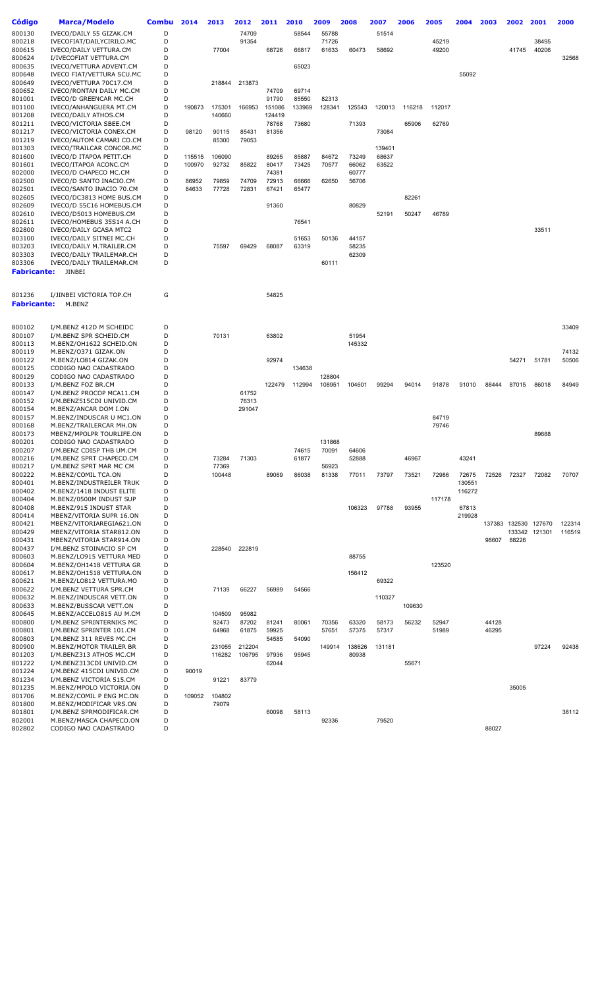| Código             | <b>Marca/Modelo</b>                                  | <b>Combu</b> | 2014   | 2013            | 2012   | 2011           | 2010   | 2009   | 2008            | 2007           | 2006   | 2005   | 2004   | 2003           | 2002                 | 2001          | 2000             |
|--------------------|------------------------------------------------------|--------------|--------|-----------------|--------|----------------|--------|--------|-----------------|----------------|--------|--------|--------|----------------|----------------------|---------------|------------------|
| 800130             | IVECO/DAILY 55 GIZAK.CM                              | D            |        |                 | 74709  |                | 58544  | 55788  |                 | 51514          |        |        |        |                |                      |               |                  |
| 800218             | IVECOFIAT/DAILYCIRILO.MC                             | D            |        |                 | 91354  |                |        | 71726  |                 |                |        | 45219  |        |                |                      | 38495         |                  |
| 800615<br>800624   | IVECO/DAILY VETTURA.CM<br>I/IVECOFIAT VETTURA.CM     | D<br>D       |        | 77004           |        | 68726          | 66817  | 61633  | 60473           | 58692          |        | 49200  |        |                | 41745                | 40206         | 32568            |
| 800635             | IVECO/VETTURA ADVENT.CM                              | D            |        |                 |        |                | 65023  |        |                 |                |        |        |        |                |                      |               |                  |
| 800648             | IVECO FIAT/VETTURA SCU.MC                            | D            |        |                 |        |                |        |        |                 |                |        |        | 55092  |                |                      |               |                  |
| 800649             | IVECO/VETTURA 70C17.CM                               | D            |        | 218844          | 213873 |                |        |        |                 |                |        |        |        |                |                      |               |                  |
| 800652             | IVECO/RONTAN DAILY MC.CM                             | D            |        |                 |        | 74709          | 69714  |        |                 |                |        |        |        |                |                      |               |                  |
| 801001             | IVECO/D GREENCAR MC.CH                               | D            |        |                 |        | 91790          | 85550  | 82313  |                 |                |        |        |        |                |                      |               |                  |
| 801100             | IVECO/ANHANGUERA MT.CM                               | D            | 190873 | 175301          | 166953 | 151086         | 133969 | 128341 | 125543          | 120013         | 116218 | 112017 |        |                |                      |               |                  |
| 801208             | IVECO/DAILY ATHOS.CM                                 | D            |        | 140660          |        | 124419         |        |        |                 |                |        |        |        |                |                      |               |                  |
| 801211             | IVECO/VICTORIA SBEE.CM                               | D            |        |                 |        | 78768          | 73680  |        | 71393           |                | 65906  | 62769  |        |                |                      |               |                  |
| 801217             | IVECO/VICTORIA CONEX.CM                              | D            | 98120  | 90115           | 85431  | 81356          |        |        |                 | 73084          |        |        |        |                |                      |               |                  |
| 801219             | IVECO/AUTOM CAMARI CO.CM                             | D            |        | 85300           | 79053  |                |        |        |                 |                |        |        |        |                |                      |               |                  |
| 801303             | IVECO/TRAILCAR CONCOR.MC                             | D            |        |                 |        |                |        |        |                 | 139401         |        |        |        |                |                      |               |                  |
| 801600             | IVECO/D ITAPOA PETIT.CH                              | D<br>D       | 115515 | 106090<br>92732 |        | 89265<br>80417 | 85887  | 84672  | 73249<br>66062  | 68637<br>63522 |        |        |        |                |                      |               |                  |
| 801601<br>802000   | IVECO/ITAPOA ACONC.CM<br>IVECO/D CHAPECO MC.CM       | D            | 100970 |                 | 85822  | 74381          | 73425  | 70577  | 60777           |                |        |        |        |                |                      |               |                  |
| 802500             | IVECO/D SANTO INACIO.CM                              | D            | 86952  | 79859           | 74709  | 72913          | 66666  | 62650  | 56706           |                |        |        |        |                |                      |               |                  |
| 802501             | IVECO/SANTO INACIO 70.CM                             | D            | 84633  | 77728           | 72831  | 67421          | 65477  |        |                 |                |        |        |        |                |                      |               |                  |
| 802605             | IVECO/DC3813 HOME BUS.CM                             | D            |        |                 |        |                |        |        |                 |                | 82261  |        |        |                |                      |               |                  |
| 802609             | IVECO/D 55C16 HOMEBUS.CM                             | D            |        |                 |        | 91360          |        |        | 80829           |                |        |        |        |                |                      |               |                  |
| 802610             | IVECO/D5013 HOMEBUS.CM                               | D            |        |                 |        |                |        |        |                 | 52191          | 50247  | 46789  |        |                |                      |               |                  |
| 802611             | IVECO/HOMEBUS 35S14 A.CH                             | D            |        |                 |        |                | 76541  |        |                 |                |        |        |        |                |                      |               |                  |
| 802800             | IVECO/DAILY GCASA MTC2                               | D            |        |                 |        |                |        |        |                 |                |        |        |        |                |                      | 33511         |                  |
| 803100             | IVECO/DAILY SITNEI MC.CH                             | D            |        |                 |        |                | 51653  | 50136  | 44157           |                |        |        |        |                |                      |               |                  |
| 803203             | IVECO/DAILY M.TRAILER.CM                             | D            |        | 75597           | 69429  | 68087          | 63319  |        | 58235           |                |        |        |        |                |                      |               |                  |
| 803303             | IVECO/DAILY TRAILEMAR.CH                             | D            |        |                 |        |                |        |        | 62309           |                |        |        |        |                |                      |               |                  |
| 803306             | IVECO/DAILY TRAILEMAR.CM                             | D            |        |                 |        |                |        | 60111  |                 |                |        |        |        |                |                      |               |                  |
| Fabricante:        | <b>JINBEI</b>                                        |              |        |                 |        |                |        |        |                 |                |        |        |        |                |                      |               |                  |
|                    |                                                      |              |        |                 |        |                |        |        |                 |                |        |        |        |                |                      |               |                  |
| 801236             | I/JINBEI VICTORIA TOP.CH                             | G            |        |                 |        | 54825          |        |        |                 |                |        |        |        |                |                      |               |                  |
| <b>Fabricante:</b> | M.BENZ                                               |              |        |                 |        |                |        |        |                 |                |        |        |        |                |                      |               |                  |
|                    |                                                      |              |        |                 |        |                |        |        |                 |                |        |        |        |                |                      |               |                  |
| 800102             | I/M.BENZ 412D M SCHEIDC                              | D            |        |                 |        |                |        |        |                 |                |        |        |        |                |                      |               | 33409            |
| 800107             | I/M.BENZ SPR SCHEID.CM                               | D<br>D       |        | 70131           |        | 63802          |        |        | 51954<br>145332 |                |        |        |        |                |                      |               |                  |
| 800113<br>800119   | M.BENZ/OH1622 SCHEID.ON<br>M.BENZ/0371 GIZAK.ON      | D            |        |                 |        |                |        |        |                 |                |        |        |        |                |                      |               | 74132            |
| 800122             | M.BENZ/LO814 GIZAK.ON                                | D            |        |                 |        | 92974          |        |        |                 |                |        |        |        |                | 54271                | 51781         | 50506            |
| 800125             | CODIGO NAO CADASTRADO                                | D            |        |                 |        |                | 134638 |        |                 |                |        |        |        |                |                      |               |                  |
| 800129             | CODIGO NAO CADASTRADO                                | D            |        |                 |        |                |        | 128804 |                 |                |        |        |        |                |                      |               |                  |
| 800133             | I/M.BENZ FOZ BR.CM                                   | D            |        |                 |        | 122479         | 112994 | 108951 | 104601          | 99294          | 94014  | 91878  | 91010  | 88444          | 87015                | 86018         | 84949            |
| 800147             | I/M.BENZ PROCOP MCA11.CM                             | D            |        |                 | 61752  |                |        |        |                 |                |        |        |        |                |                      |               |                  |
| 800152             | I/M.BENZ515CDI UNIVID.CM                             | D            |        |                 | 76313  |                |        |        |                 |                |        |        |        |                |                      |               |                  |
| 800154             | M.BENZ/ANCAR DOM I.ON                                | D            |        |                 | 291047 |                |        |        |                 |                |        |        |        |                |                      |               |                  |
| 800157             | M.BENZ/INDUSCAR U MC1.ON                             | D            |        |                 |        |                |        |        |                 |                |        | 84719  |        |                |                      |               |                  |
| 800168             | M.BENZ/TRAILERCAR MH.ON                              | D<br>D       |        |                 |        |                |        |        |                 |                |        | 79746  |        |                |                      | 89688         |                  |
| 800173<br>800201   | MBENZ/MPOLPR TOURLIFE.ON<br>CODIGO NAO CADASTRADO    | D            |        |                 |        |                |        | 131868 |                 |                |        |        |        |                |                      |               |                  |
| 800207             | I/M.BENZ CDISP THB UM.CM                             | D            |        |                 |        |                | 74615  | 70091  | 64606           |                |        |        |        |                |                      |               |                  |
| 800216             | I/M.BENZ SPRT CHAPECO.CM                             | D            |        | 73284           | 71303  |                | 61877  |        | 52888           |                | 46967  |        | 43241  |                |                      |               |                  |
| 800217             | I/M.BENZ SPRT MAR MC CM                              | D            |        | 77369           |        |                |        | 56923  |                 |                |        |        |        |                |                      |               |                  |
| 800222             | M.BENZ/COMIL TCA.ON                                  | D            |        | 100448          |        | 89069          | 86038  | 81338  | 77011           | 73797          | 73521  | 72986  | 72675  | 72526          | 72327                | 72082         | 70707            |
| 800401             | M.BENZ/INDUSTREILER TRUK                             | D            |        |                 |        |                |        |        |                 |                |        |        | 130551 |                |                      |               |                  |
| 800402             | M.BENZ/1418 INDUST ELITE                             | D            |        |                 |        |                |        |        |                 |                |        |        | 116272 |                |                      |               |                  |
| 800404             | M.BENZ/0500M INDUST SUP                              | D            |        |                 |        |                |        |        |                 |                |        | 117178 |        |                |                      |               |                  |
| 800408             | M.BENZ/915 INDUST STAR                               | D            |        |                 |        |                |        |        | 106323          | 97788          | 93955  |        | 67813  |                |                      |               |                  |
| 800414             | MBENZ/VITORIA SUPR 16.ON                             | D            |        |                 |        |                |        |        |                 |                |        |        | 219928 |                |                      |               |                  |
| 800421<br>800429   | MBENZ/VITORIAREGIA621.ON<br>MBENZ/VITORIA STAR812.ON | D<br>D       |        |                 |        |                |        |        |                 |                |        |        |        |                | 137383 132530 127670 | 133342 121301 | 122314<br>116519 |
| 800431             | MBENZ/VITORIA STAR914.ON                             | D            |        |                 |        |                |        |        |                 |                |        |        |        | 98607          | 88226                |               |                  |
| 800437             | I/M.BENZ STOINACIO SP CM                             | D            |        | 228540          | 222819 |                |        |        |                 |                |        |        |        |                |                      |               |                  |
| 800603             | M.BENZ/LO915 VETTURA MED                             | D            |        |                 |        |                |        |        | 88755           |                |        |        |        |                |                      |               |                  |
| 800604             | M.BENZ/OH1418 VETTURA GR                             | D            |        |                 |        |                |        |        |                 |                |        | 123520 |        |                |                      |               |                  |
| 800617             | M.BENZ/OH1518 VETTURA.ON                             | D            |        |                 |        |                |        |        | 156412          |                |        |        |        |                |                      |               |                  |
| 800621             | M.BENZ/LO812 VETTURA.MO                              | D            |        |                 |        |                |        |        |                 | 69322          |        |        |        |                |                      |               |                  |
| 800622             | I/M.BENZ VETTURA SPR.CM                              | D            |        | 71139           | 66227  | 56989          | 54566  |        |                 |                |        |        |        |                |                      |               |                  |
| 800632             | M.BENZ/INDUSCAR VETT.ON                              | D            |        |                 |        |                |        |        |                 | 110327         |        |        |        |                |                      |               |                  |
| 800633             | M.BENZ/BUSSCAR VETT.ON                               | D            |        |                 |        |                |        |        |                 |                | 109630 |        |        |                |                      |               |                  |
| 800645             | M.BENZ/ACCELO815 AU M.CM                             | D            |        | 104509          | 95982  |                |        |        |                 |                |        |        |        |                |                      |               |                  |
| 800800             | I/M.BENZ SPRINTERNIKS MC                             | D<br>D       |        | 92473           | 87202  | 81241          | 80061  | 70356  | 63320           | 58173          | 56232  | 52947  |        | 44128<br>46295 |                      |               |                  |
| 800801<br>800803   | I/M.BENZ SPRINTER 101.CM<br>I/M.BENZ 311 REVES MC.CH | D            |        | 64968           | 61875  | 59925<br>54585 | 54090  | 57651  | 57375           | 57317          |        | 51989  |        |                |                      |               |                  |
| 800900             | M.BENZ/MOTOR TRAILER BR                              | D            |        | 231055          | 212204 |                |        | 149914 | 138626          | 131181         |        |        |        |                |                      | 97224         | 92438            |
| 801203             | I/M.BENZ313 ATHOS MC.CM                              | D            |        | 116282          | 106795 | 97936          | 95945  |        | 80938           |                |        |        |        |                |                      |               |                  |
| 801222             | I/M.BENZ313CDI UNIVID.CM                             | D            |        |                 |        | 62044          |        |        |                 |                | 55671  |        |        |                |                      |               |                  |
| 801224             | I/M.BENZ 415CDI UNIVID.CM                            | D            | 90019  |                 |        |                |        |        |                 |                |        |        |        |                |                      |               |                  |
| 801234             | I/M.BENZ VICTORIA 515.CM                             | D            |        | 91221           | 83779  |                |        |        |                 |                |        |        |        |                |                      |               |                  |
| 801235             | M.BENZ/MPOLO VICTORIA.ON                             | D            |        |                 |        |                |        |        |                 |                |        |        |        |                | 35005                |               |                  |
| 801706             | M.BENZ/COMIL P ENG MC.ON                             | D            | 109052 | 104802          |        |                |        |        |                 |                |        |        |        |                |                      |               |                  |
| 801800             | M.BENZ/MODIFICAR VRS.ON                              | D            |        | 79079           |        |                |        |        |                 |                |        |        |        |                |                      |               |                  |
| 801801             | I/M.BENZ SPRMODIFICAR.CM                             | D            |        |                 |        | 60098          | 58113  |        |                 |                |        |        |        |                |                      |               | 38112            |
| 802001<br>802802   | M.BENZ/MASCA CHAPECO.ON<br>CODIGO NAO CADASTRADO     | D<br>D       |        |                 |        |                |        | 92336  |                 | 79520          |        |        |        | 88027          |                      |               |                  |
|                    |                                                      |              |        |                 |        |                |        |        |                 |                |        |        |        |                |                      |               |                  |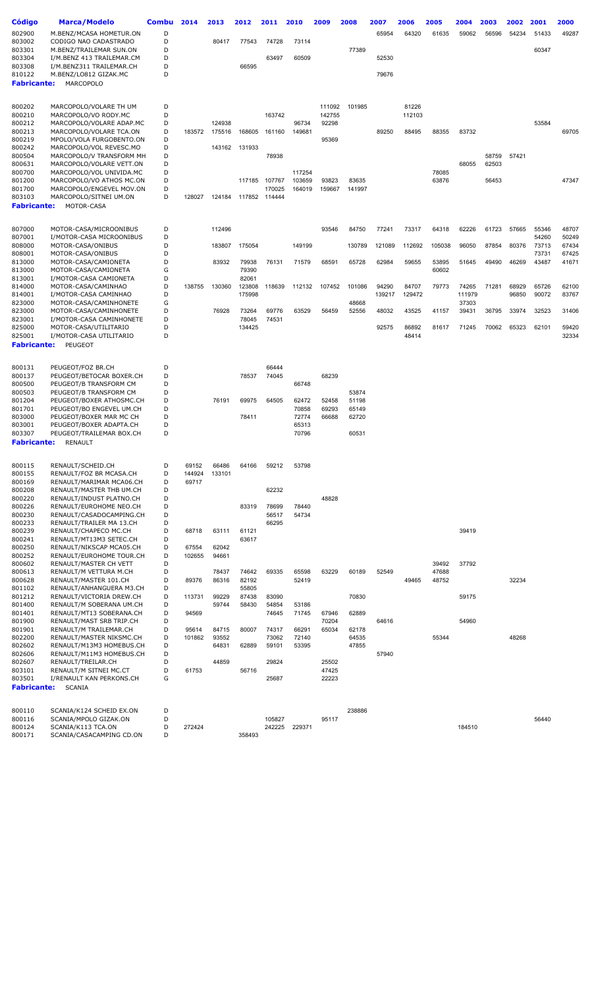| <b>Código</b>                | <b>Marca/Modelo</b>                                  | <b>Combu</b> | 2014            | 2013           | 2012   | 2011           | 2010           | 2009            | 2008   | 2007   | 2006   | 2005   | 2004            | 2003  | 2002  | 2001           | 2000           |
|------------------------------|------------------------------------------------------|--------------|-----------------|----------------|--------|----------------|----------------|-----------------|--------|--------|--------|--------|-----------------|-------|-------|----------------|----------------|
| 802900                       | M.BENZ/MCASA HOMETUR.ON                              | D            |                 |                |        |                |                |                 |        | 65954  | 64320  | 61635  | 59062           | 56596 | 54234 | 51433          | 49287          |
| 803002                       | CODIGO NAO CADASTRADO                                | D            |                 | 80417          | 77543  | 74728          | 73114          |                 |        |        |        |        |                 |       |       |                |                |
| 803301                       | M.BENZ/TRAILEMAR SUN.ON                              | D            |                 |                |        |                |                |                 | 77389  |        |        |        |                 |       |       | 60347          |                |
| 803304                       | I/M.BENZ 413 TRAILEMAR.CM                            | D            |                 |                |        | 63497          | 60509          |                 |        | 52530  |        |        |                 |       |       |                |                |
| 803308                       | I/M.BENZ311 TRAILEMAR.CH                             | D            |                 |                | 66595  |                |                |                 |        |        |        |        |                 |       |       |                |                |
| 810122                       | M.BENZ/LO812 GIZAK.MC                                | D            |                 |                |        |                |                |                 |        | 79676  |        |        |                 |       |       |                |                |
| <b>Fabricante:</b>           | <b>MARCOPOLO</b>                                     |              |                 |                |        |                |                |                 |        |        |        |        |                 |       |       |                |                |
|                              |                                                      |              |                 |                |        |                |                |                 |        |        |        |        |                 |       |       |                |                |
| 800202                       | MARCOPOLO/VOLARE TH UM                               | D            |                 |                |        |                |                | 111092          | 101985 |        | 81226  |        |                 |       |       |                |                |
| 800210<br>800212             | MARCOPOLO/VO RODY.MC<br>MARCOPOLO/VOLARE ADAP.MC     | D<br>D       |                 | 124938         |        | 163742         | 96734          | 142755<br>92298 |        |        | 112103 |        |                 |       |       | 53584          |                |
| 800213                       | MARCOPOLO/VOLARE TCA.ON                              | D            | 183572          | 175516         | 168605 | 161160         | 149681         |                 |        | 89250  | 88495  | 88355  | 83732           |       |       |                | 69705          |
| 800219                       | MPOLO/VOLA FURGOBENTO.ON                             | D            |                 |                |        |                |                | 95369           |        |        |        |        |                 |       |       |                |                |
| 800242                       | MARCOPOLO/VOL REVESC.MO                              | D            |                 | 143162         | 131933 |                |                |                 |        |        |        |        |                 |       |       |                |                |
| 800504                       | MARCOPOLO/V TRANSFORM MH                             | D            |                 |                |        | 78938          |                |                 |        |        |        |        |                 | 58759 | 57421 |                |                |
| 800631<br>800700             | MARCOPOLO/VOLARE VETT.ON<br>MARCOPOLO/VOL UNIVIDA.MC | D<br>D       |                 |                |        |                | 117254         |                 |        |        |        | 78085  | 68055           | 62503 |       |                |                |
| 801200                       | MARCOPOLO/VO ATHOS MC.ON                             | D            |                 |                | 117185 | 107767         | 103659         | 93823           | 83635  |        |        | 63876  |                 | 56453 |       |                | 47347          |
| 801700                       | MARCOPOLO/ENGEVEL MOV.ON                             | D            |                 |                |        | 170025         | 164019         | 159667          | 141997 |        |        |        |                 |       |       |                |                |
| 803103                       | MARCOPOLO/SITNEI UM.ON                               | D            | 128027          | 124184         |        | 117852 114444  |                |                 |        |        |        |        |                 |       |       |                |                |
| <b>Fabricante:</b>           | MOTOR-CASA                                           |              |                 |                |        |                |                |                 |        |        |        |        |                 |       |       |                |                |
|                              |                                                      |              |                 |                |        |                |                |                 |        |        |        |        |                 |       |       |                |                |
| 807000                       | MOTOR-CASA/MICROONIBUS                               | D            |                 | 112496         |        |                |                | 93546           | 84750  | 77241  | 73317  | 64318  | 62226           | 61723 | 57665 | 55346          | 48707          |
| 807001                       | I/MOTOR-CASA MICROONIBUS                             | D            |                 |                |        |                |                |                 |        |        |        |        |                 |       |       | 54260          | 50249          |
| 808000<br>808001             | MOTOR-CASA/ONIBUS<br>MOTOR-CASA/ONIBUS               | D<br>D       |                 | 183807         | 175054 |                | 149199         |                 | 130789 | 121089 | 112692 | 105038 | 96050           | 87854 | 80376 | 73713<br>73731 | 67434<br>67425 |
| 813000                       | MOTOR-CASA/CAMIONETA                                 | D            |                 | 83932          | 79938  | 76131          | 71579          | 68591           | 65728  | 62984  | 59655  | 53895  | 51645           | 49490 | 46269 | 43487          | 41671          |
| 813000                       | MOTOR-CASA/CAMIONETA                                 | G            |                 |                | 79390  |                |                |                 |        |        |        | 60602  |                 |       |       |                |                |
| 813001                       | I/MOTOR-CASA CAMIONETA                               | D            |                 |                | 82061  |                |                |                 |        |        |        |        |                 |       |       |                |                |
| 814000                       | MOTOR-CASA/CAMINHAO                                  | D            | 138755          | 130360         | 123808 | 118639         | 112132         | 107452          | 101086 | 94290  | 84707  | 79773  | 74265           | 71281 | 68929 | 65726          | 62100          |
| 814001<br>823000             | I/MOTOR-CASA CAMINHAO<br>MOTOR-CASA/CAMINHONETE      | D<br>G       |                 |                | 175998 |                |                |                 | 48668  | 139217 | 129472 |        | 111979<br>37303 |       | 96850 | 90072          | 83767          |
| 823000                       | MOTOR-CASA/CAMINHONETE                               | D            |                 | 76928          | 73264  | 69776          | 63529          | 56459           | 52556  | 48032  | 43525  | 41157  | 39431           | 36795 | 33974 | 32523          | 31406          |
| 823001                       | I/MOTOR-CASA CAMINHONETE                             | D            |                 |                | 78045  | 74531          |                |                 |        |        |        |        |                 |       |       |                |                |
| 825000                       | MOTOR-CASA/UTILITARIO                                | D            |                 |                | 134425 |                |                |                 |        | 92575  | 86892  | 81617  | 71245           | 70062 | 65323 | 62101          | 59420          |
| 825001                       | I/MOTOR-CASA UTILITARIO                              | D            |                 |                |        |                |                |                 |        |        | 48414  |        |                 |       |       |                | 32334          |
| <b>Fabricante:</b>           | PEUGEOT                                              |              |                 |                |        |                |                |                 |        |        |        |        |                 |       |       |                |                |
|                              |                                                      |              |                 |                |        |                |                |                 |        |        |        |        |                 |       |       |                |                |
| 800131                       | PEUGEOT/FOZ BR.CH                                    | D            |                 |                |        | 66444          |                |                 |        |        |        |        |                 |       |       |                |                |
| 800137                       | PEUGEOT/BETOCAR BOXER.CH                             | D            |                 |                | 78537  | 74045          |                | 68239           |        |        |        |        |                 |       |       |                |                |
| 800500<br>800503             | PEUGEOT/B TRANSFORM CM<br>PEUGEOT/B TRANSFORM CM     | D<br>D       |                 |                |        |                | 66748          |                 | 53874  |        |        |        |                 |       |       |                |                |
| 801204                       | PEUGEOT/BOXER ATHOSMC.CH                             | D            |                 | 76191          | 69975  | 64505          | 62472          | 52458           | 51198  |        |        |        |                 |       |       |                |                |
| 801701                       | PEUGEOT/BO ENGEVEL UM.CH                             | D            |                 |                |        |                | 70858          | 69293           | 65149  |        |        |        |                 |       |       |                |                |
| 803000                       | PEUGEOT/BOXER MAR MC CH                              | D            |                 |                | 78411  |                | 72774          | 66688           | 62720  |        |        |        |                 |       |       |                |                |
| 803001                       | PEUGEOT/BOXER ADAPTA.CH<br>PEUGEOT/TRAILEMAR BOX.CH  | D<br>D       |                 |                |        |                | 65313<br>70796 |                 | 60531  |        |        |        |                 |       |       |                |                |
| 803307<br><b>Fabricante:</b> | <b>RENAULT</b>                                       |              |                 |                |        |                |                |                 |        |        |        |        |                 |       |       |                |                |
|                              |                                                      |              |                 |                |        |                |                |                 |        |        |        |        |                 |       |       |                |                |
| 800115                       | RENAULT/SCHEID.CH                                    | D            | 69152           | 66486          | 64166  | 59212          | 53798          |                 |        |        |        |        |                 |       |       |                |                |
| 800155                       | RENAULT/FOZ BR MCASA.CH                              | D            | 144924          | 133101         |        |                |                |                 |        |        |        |        |                 |       |       |                |                |
| 800169                       | RENAULT/MARIMAR MCA06.CH                             | D            | 69717           |                |        |                |                |                 |        |        |        |        |                 |       |       |                |                |
| 800208                       | RENAULT/MASTER THB UM.CH                             | D            |                 |                |        | 62232          |                |                 |        |        |        |        |                 |       |       |                |                |
| 800220                       | RENAULT/INDUST PLATNO.CH                             | D            |                 |                |        |                |                | 48828           |        |        |        |        |                 |       |       |                |                |
| 800226<br>800230             | RENAULT/EUROHOME NEO.CH<br>RENAULT/CASADOCAMPING.CH  | D<br>D       |                 |                | 83319  | 78699<br>56517 | 78440<br>54734 |                 |        |        |        |        |                 |       |       |                |                |
| 800233                       | RENAULT/TRAILER MA 13.CH                             | D            |                 |                |        | 66295          |                |                 |        |        |        |        |                 |       |       |                |                |
| 800239                       | RENAULT/CHAPECO MC.CH                                | D            | 68718           | 63111          | 61121  |                |                |                 |        |        |        |        | 39419           |       |       |                |                |
| 800241                       | RENAULT/MT13M3 SETEC.CH                              | D            |                 |                | 63617  |                |                |                 |        |        |        |        |                 |       |       |                |                |
| 800250<br>800252             | RENAULT/NIKSCAP MCA05.CH<br>RENAULT/EUROHOME TOUR.CH | D<br>D       | 67554<br>102655 | 62042<br>94661 |        |                |                |                 |        |        |        |        |                 |       |       |                |                |
| 800602                       | RENAULT/MASTER CH VETT                               | D            |                 |                |        |                |                |                 |        |        |        | 39492  | 37792           |       |       |                |                |
| 800613                       | RENAULT/M VETTURA M.CH                               | D            |                 | 78437          | 74642  | 69335          | 65598          | 63229           | 60189  | 52549  |        | 47688  |                 |       |       |                |                |
| 800628                       | RENAULT/MASTER 101.CH                                | D            | 89376           | 86316          | 82192  |                | 52419          |                 |        |        | 49465  | 48752  |                 |       | 32234 |                |                |
| 801102                       | RENAULT/ANHANGUERA M3.CH                             | D            |                 |                | 55805  |                |                |                 |        |        |        |        |                 |       |       |                |                |
| 801212                       | RENAULT/VICTORIA DREW.CH                             | D            | 113731          | 99229          | 87438  | 83090          |                |                 | 70830  |        |        |        | 59175           |       |       |                |                |
| 801400<br>801401             | RENAULT/M SOBERANA UM.CH<br>RENAULT/MT13 SOBERANA.CH | D<br>D       | 94569           | 59744          | 58430  | 54854<br>74645 | 53186<br>71745 | 67946           | 62889  |        |        |        |                 |       |       |                |                |
| 801900                       | RENAULT/MAST SRB TRIP.CH                             | D            |                 |                |        |                |                | 70204           |        | 64616  |        |        | 54960           |       |       |                |                |
| 801901                       | RENAULT/M TRAILEMAR.CH                               | D            | 95614           | 84715          | 80007  | 74317          | 66291          | 65034           | 62178  |        |        |        |                 |       |       |                |                |
| 802200                       | RENAULT/MASTER NIKSMC.CH                             | D            | 101862          | 93552          |        | 73062          | 72140          |                 | 64535  |        |        | 55344  |                 |       | 48268 |                |                |
| 802602                       | RENAULT/M13M3 HOMEBUS.CH                             | D            |                 | 64831          | 62889  | 59101          | 53395          |                 | 47855  |        |        |        |                 |       |       |                |                |
| 802606<br>802607             | RENAULT/M11M3 HOMEBUS.CH<br>RENAULT/TREILAR.CH       | D<br>D       |                 | 44859          |        | 29824          |                | 25502           |        | 57940  |        |        |                 |       |       |                |                |
| 803101                       | RENAULT/M SITNEI MC.CT                               | D            | 61753           |                | 56716  |                |                | 47425           |        |        |        |        |                 |       |       |                |                |
| 803501                       | I/RENAULT KAN PERKONS.CH                             | G            |                 |                |        | 25687          |                | 22223           |        |        |        |        |                 |       |       |                |                |
| <b>Fabricante:</b>           | SCANIA                                               |              |                 |                |        |                |                |                 |        |        |        |        |                 |       |       |                |                |
|                              |                                                      |              |                 |                |        |                |                |                 |        |        |        |        |                 |       |       |                |                |
| 800110                       | SCANIA/K124 SCHEID EX.ON                             | D            |                 |                |        |                |                |                 | 238886 |        |        |        |                 |       |       |                |                |
| 800116                       | SCANIA/MPOLO GIZAK.ON                                | D            |                 |                |        | 105827         |                | 95117           |        |        |        |        |                 |       |       | 56440          |                |
| 800124<br>800171             | SCANIA/K113 TCA.ON<br>SCANIA/CASACAMPING CD.ON       | D<br>D       | 272424          |                | 358493 | 242225         | 229371         |                 |        |        |        |        | 184510          |       |       |                |                |
|                              |                                                      |              |                 |                |        |                |                |                 |        |        |        |        |                 |       |       |                |                |
|                              |                                                      |              |                 |                |        |                |                |                 |        |        |        |        |                 |       |       |                |                |